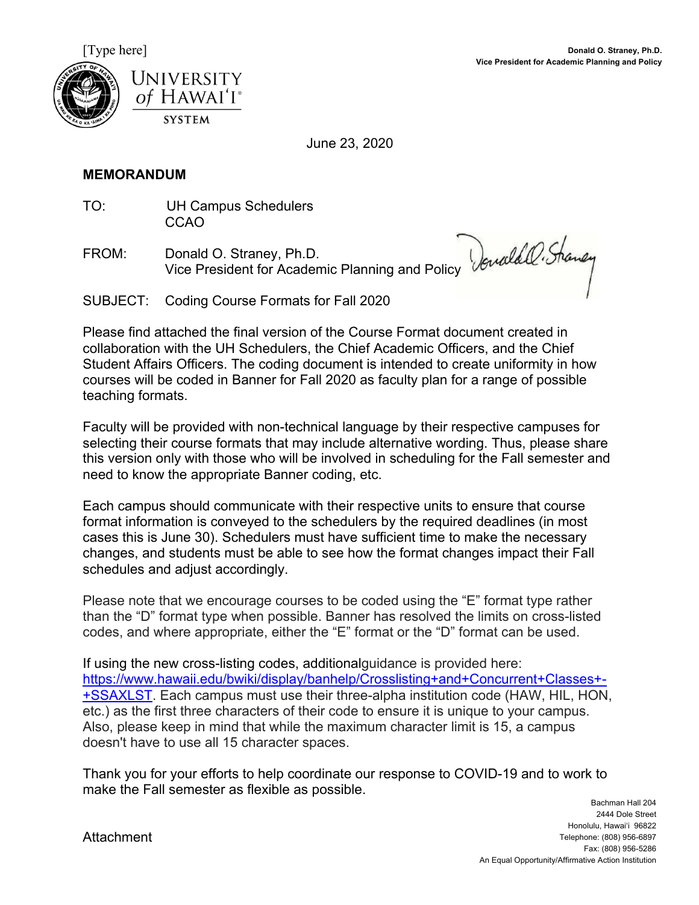



June 23, 2020

## **MEMORANDUM**

TO: UH Campus Schedulers CCAO

FROM: Donald O. Straney, Ph.D. Vice President for Academic Planning and Policy

SUBJECT: Coding Course Formats for Fall 2020

Please find attached the final version of the Course Format document created in collaboration with the UH Schedulers, the Chief Academic Officers, and the Chief Student Affairs Officers. The coding document is intended to create uniformity in how courses will be coded in Banner for Fall 2020 as faculty plan for a range of possible teaching formats.

Faculty will be provided with non-technical language by their respective campuses for selecting their course formats that may include alternative wording. Thus, please share this version only with those who will be involved in scheduling for the Fall semester and need to know the appropriate Banner coding, etc.

Each campus should communicate with their respective units to ensure that course format information is conveyed to the schedulers by the required deadlines (in most cases this is June 30). Schedulers must have sufficient time to make the necessary changes, and students must be able to see how the format changes impact their Fall schedules and adjust accordingly.

Please note that we encourage courses to be coded using the "E" format type rather than the "D" format type when possible. Banner has resolved the limits on cross-listed codes, and where appropriate, either the "E" format or the "D" format can be used.

If using the new cross-listing codes, additional guidance is provided here: https://www.hawaii.edu/bwiki/display/banhelp/Crosslisting+and+Concurrent+Classes+- +SSAXLST. Each campus must use their three-alpha institution code (HAW, HIL, HON, etc.) as the first three characters of their code to ensure it is unique to your campus. Also, please keep in mind that while the maximum character limit is 15, a campus doesn't have to use all 15 character spaces.

Thank you for your efforts to help coordinate our response to COVID-19 and to work to make the Fall semester as flexible as possible.

**Attachment**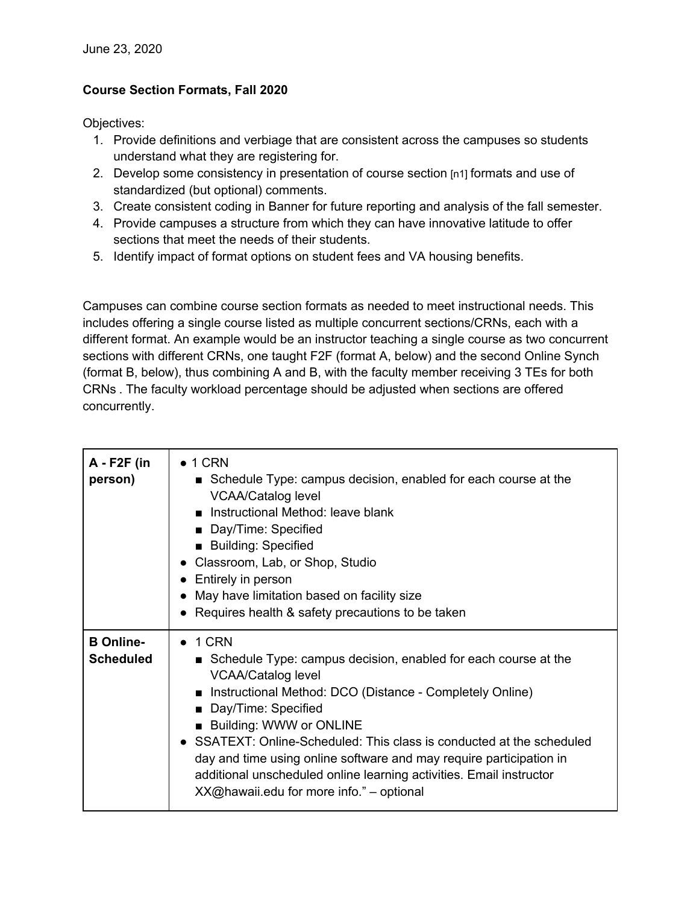## **Course Section Formats, Fall 2020**

Objectives:

- 1. Provide definitions and verbiage that are consistent across the campuses so students understand what they are registering for.
- 2. Develop some consistency in presentation of course section [n1] formats and use of standardized (but optional) comments.
- 3. Create consistent coding in Banner for future reporting and analysis of the fall semester.
- 4. Provide campuses a structure from which they can have innovative latitude to offer sections that meet the needs of their students.
- 5. Identify impact of format options on student fees and VA housing benefits.

Campuses can combine course section formats as needed to meet instructional needs. This includes offering a single course listed as multiple concurrent sections/CRNs, each with a different format. An example would be an instructor teaching a single course as two concurrent sections with different CRNs, one taught F2F (format A, below) and the second Online Synch (format B, below), thus combining A and B, with the faculty member receiving 3 TEs for both CRNs . The faculty workload percentage should be adjusted when sections are offered concurrently.

| $A - F2F$ (in<br>person)             | $\bullet$ 1 CRN<br>Schedule Type: campus decision, enabled for each course at the<br><b>VCAA/Catalog level</b><br>Instructional Method: leave blank<br>Day/Time: Specified<br><b>Building: Specified</b><br>Classroom, Lab, or Shop, Studio<br>Entirely in person<br>May have limitation based on facility size<br>Requires health & safety precautions to be taken                                                                                                                                 |
|--------------------------------------|-----------------------------------------------------------------------------------------------------------------------------------------------------------------------------------------------------------------------------------------------------------------------------------------------------------------------------------------------------------------------------------------------------------------------------------------------------------------------------------------------------|
| <b>B</b> Online-<br><b>Scheduled</b> | $\bullet$ 1 CRN<br>■ Schedule Type: campus decision, enabled for each course at the<br><b>VCAA/Catalog level</b><br>Instructional Method: DCO (Distance - Completely Online)<br>Day/Time: Specified<br>■ Building: WWW or ONLINE<br>• SSATEXT: Online-Scheduled: This class is conducted at the scheduled<br>day and time using online software and may require participation in<br>additional unscheduled online learning activities. Email instructor<br>XX@hawaii.edu for more info." - optional |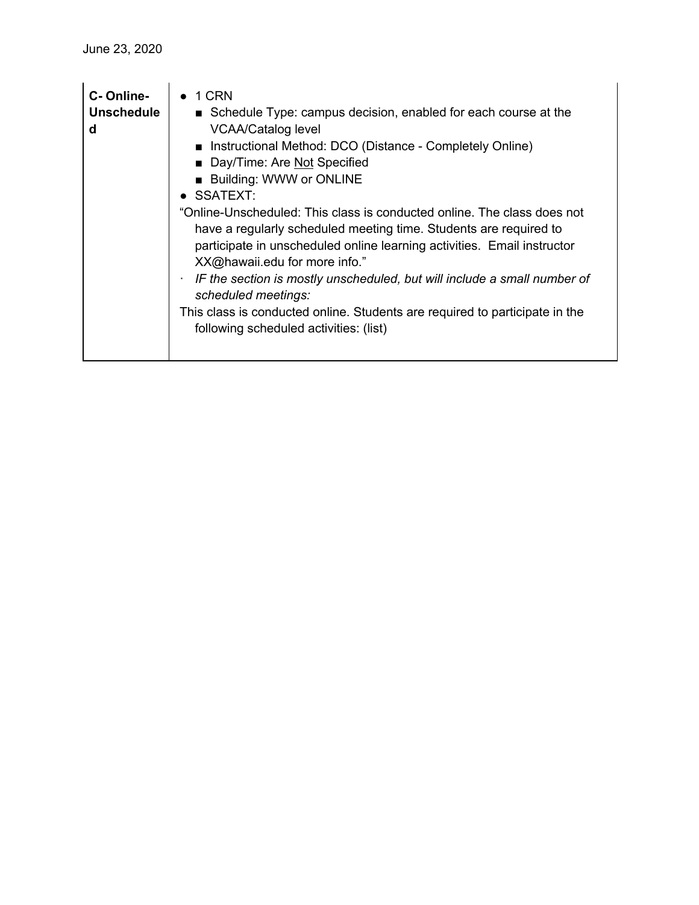| C-Online-<br><b>Unschedule</b><br>d | 1 CRN<br>■ Schedule Type: campus decision, enabled for each course at the<br><b>VCAA/Catalog level</b><br>■ Instructional Method: DCO (Distance - Completely Online)<br>Day/Time: Are Not Specified<br><b>Building: WWW or ONLINE</b><br>$\bullet$ SSATEXT:<br>"Online-Unscheduled: This class is conducted online. The class does not<br>have a regularly scheduled meeting time. Students are required to<br>participate in unscheduled online learning activities. Email instructor<br>XX@hawaii.edu for more info."<br>IF the section is mostly unscheduled, but will include a small number of<br>scheduled meetings:<br>This class is conducted online. Students are required to participate in the<br>following scheduled activities: (list) |
|-------------------------------------|-----------------------------------------------------------------------------------------------------------------------------------------------------------------------------------------------------------------------------------------------------------------------------------------------------------------------------------------------------------------------------------------------------------------------------------------------------------------------------------------------------------------------------------------------------------------------------------------------------------------------------------------------------------------------------------------------------------------------------------------------------|
|-------------------------------------|-----------------------------------------------------------------------------------------------------------------------------------------------------------------------------------------------------------------------------------------------------------------------------------------------------------------------------------------------------------------------------------------------------------------------------------------------------------------------------------------------------------------------------------------------------------------------------------------------------------------------------------------------------------------------------------------------------------------------------------------------------|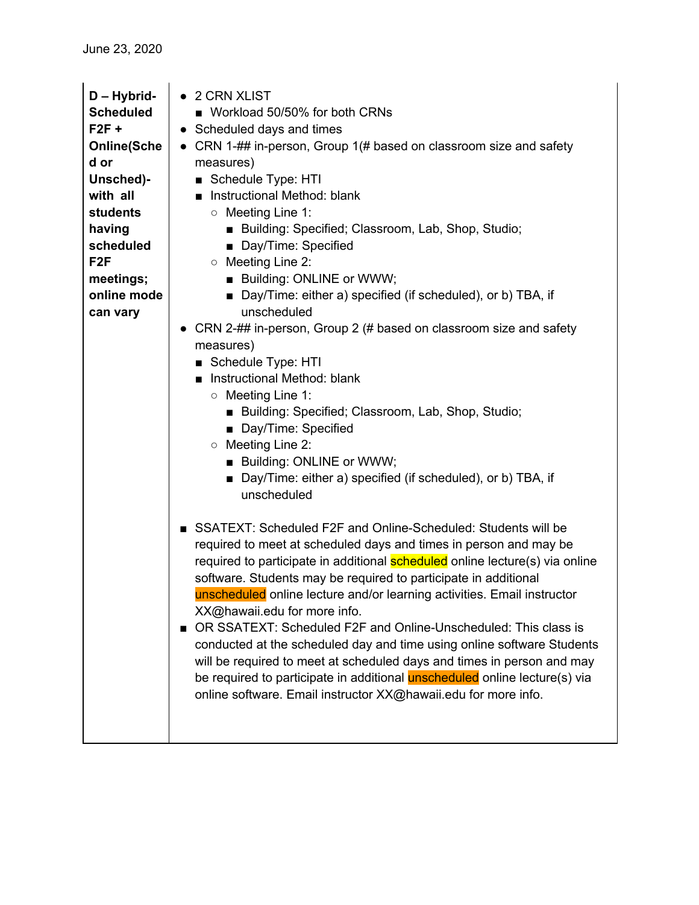| D - Hybrid-<br><b>Scheduled</b> | 2 CRN XLIST<br>■ Workload 50/50% for both CRNs                                                                                                                                                                                                                                                                                                                                                          |
|---------------------------------|---------------------------------------------------------------------------------------------------------------------------------------------------------------------------------------------------------------------------------------------------------------------------------------------------------------------------------------------------------------------------------------------------------|
| $F2F +$                         | • Scheduled days and times                                                                                                                                                                                                                                                                                                                                                                              |
| <b>Online(Sche</b><br>d or      | CRN 1-## in-person, Group 1(# based on classroom size and safety<br>$\bullet$<br>measures)                                                                                                                                                                                                                                                                                                              |
| Unsched)-                       | Schedule Type: HTI                                                                                                                                                                                                                                                                                                                                                                                      |
| with all                        | Instructional Method: blank                                                                                                                                                                                                                                                                                                                                                                             |
| <b>students</b>                 | ○ Meeting Line 1:                                                                                                                                                                                                                                                                                                                                                                                       |
| having                          | Building: Specified; Classroom, Lab, Shop, Studio;                                                                                                                                                                                                                                                                                                                                                      |
| scheduled                       | Day/Time: Specified                                                                                                                                                                                                                                                                                                                                                                                     |
| F <sub>2F</sub>                 | ○ Meeting Line 2:                                                                                                                                                                                                                                                                                                                                                                                       |
| meetings;                       | <b>Building: ONLINE or WWW;</b>                                                                                                                                                                                                                                                                                                                                                                         |
| online mode<br>can vary         | ■ Day/Time: either a) specified (if scheduled), or b) TBA, if<br>unscheduled                                                                                                                                                                                                                                                                                                                            |
|                                 | CRN 2-## in-person, Group 2 (# based on classroom size and safety                                                                                                                                                                                                                                                                                                                                       |
|                                 | measures)                                                                                                                                                                                                                                                                                                                                                                                               |
|                                 | Schedule Type: HTI                                                                                                                                                                                                                                                                                                                                                                                      |
|                                 | Instructional Method: blank                                                                                                                                                                                                                                                                                                                                                                             |
|                                 | ○ Meeting Line 1:                                                                                                                                                                                                                                                                                                                                                                                       |
|                                 | Building: Specified; Classroom, Lab, Shop, Studio;                                                                                                                                                                                                                                                                                                                                                      |
|                                 | Day/Time: Specified                                                                                                                                                                                                                                                                                                                                                                                     |
|                                 | ○ Meeting Line 2:                                                                                                                                                                                                                                                                                                                                                                                       |
|                                 | <b>Building: ONLINE or WWW;</b>                                                                                                                                                                                                                                                                                                                                                                         |
|                                 | ■ Day/Time: either a) specified (if scheduled), or b) TBA, if<br>unscheduled                                                                                                                                                                                                                                                                                                                            |
|                                 |                                                                                                                                                                                                                                                                                                                                                                                                         |
|                                 | SSATEXT: Scheduled F2F and Online-Scheduled: Students will be<br>required to meet at scheduled days and times in person and may be<br>required to participate in additional <b>scheduled</b> online lecture(s) via online<br>software. Students may be required to participate in additional<br>unscheduled online lecture and/or learning activities. Email instructor<br>XX@hawaii.edu for more info. |
|                                 | OR SSATEXT: Scheduled F2F and Online-Unscheduled: This class is<br>conducted at the scheduled day and time using online software Students<br>will be required to meet at scheduled days and times in person and may                                                                                                                                                                                     |
|                                 | be required to participate in additional <b>unscheduled</b> online lecture(s) via<br>online software. Email instructor XX@hawaii.edu for more info.                                                                                                                                                                                                                                                     |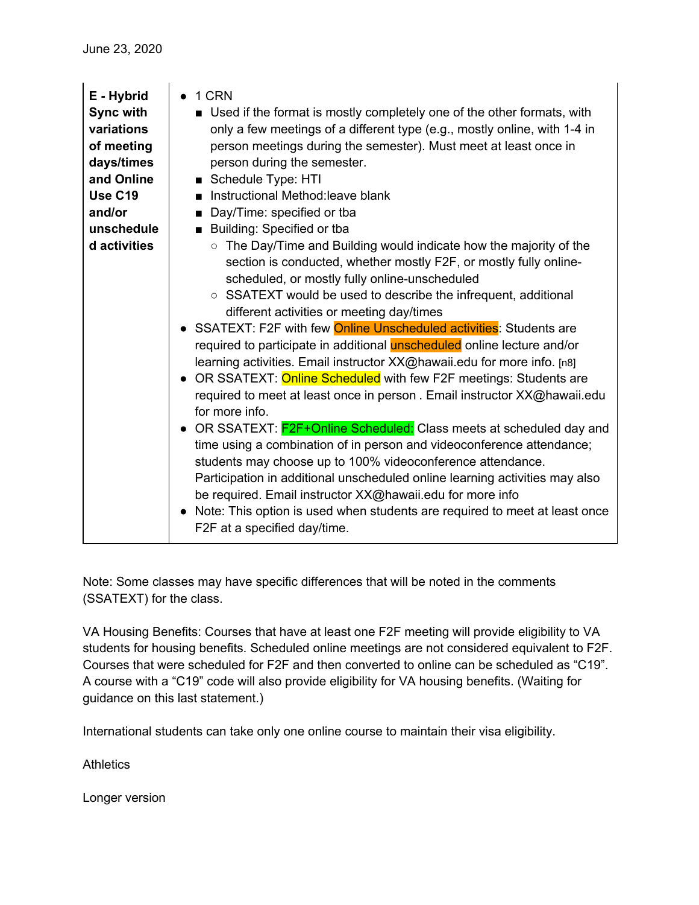| E - Hybrid<br><b>Sync with</b><br>variations<br>of meeting<br>days/times<br>and Online | 1 CRN<br>$\bullet$<br>■ Used if the format is mostly completely one of the other formats, with<br>only a few meetings of a different type (e.g., mostly online, with 1-4 in<br>person meetings during the semester). Must meet at least once in<br>person during the semester.<br>Schedule Type: HTI                                                                                                                                                                                                                                                                                                                                                                                                                                                                                                                                                                                                                                                                                                                                                                                                                                                                                                 |
|----------------------------------------------------------------------------------------|------------------------------------------------------------------------------------------------------------------------------------------------------------------------------------------------------------------------------------------------------------------------------------------------------------------------------------------------------------------------------------------------------------------------------------------------------------------------------------------------------------------------------------------------------------------------------------------------------------------------------------------------------------------------------------------------------------------------------------------------------------------------------------------------------------------------------------------------------------------------------------------------------------------------------------------------------------------------------------------------------------------------------------------------------------------------------------------------------------------------------------------------------------------------------------------------------|
| <b>Use C19</b><br>and/or                                                               | Instructional Method: leave blank<br>$\blacksquare$                                                                                                                                                                                                                                                                                                                                                                                                                                                                                                                                                                                                                                                                                                                                                                                                                                                                                                                                                                                                                                                                                                                                                  |
| unschedule                                                                             | Day/Time: specified or tba<br>Building: Specified or tba                                                                                                                                                                                                                                                                                                                                                                                                                                                                                                                                                                                                                                                                                                                                                                                                                                                                                                                                                                                                                                                                                                                                             |
| d activities                                                                           | The Day/Time and Building would indicate how the majority of the<br>$\circ$<br>section is conducted, whether mostly F2F, or mostly fully online-<br>scheduled, or mostly fully online-unscheduled<br>○ SSATEXT would be used to describe the infrequent, additional<br>different activities or meeting day/times<br>• SSATEXT: F2F with few <b>Online Unscheduled activities</b> : Students are<br>required to participate in additional unscheduled online lecture and/or<br>learning activities. Email instructor XX@hawaii.edu for more info. [n8]<br>• OR SSATEXT: Online Scheduled with few F2F meetings: Students are<br>required to meet at least once in person. Email instructor XX@hawaii.edu<br>for more info.<br>• OR SSATEXT: F2F+Online Scheduled: Class meets at scheduled day and<br>time using a combination of in person and videoconference attendance;<br>students may choose up to 100% videoconference attendance.<br>Participation in additional unscheduled online learning activities may also<br>be required. Email instructor XX@hawaii.edu for more info<br>• Note: This option is used when students are required to meet at least once<br>F2F at a specified day/time. |

Note: Some classes may have specific differences that will be noted in the comments (SSATEXT) for the class.

VA Housing Benefits: Courses that have at least one F2F meeting will provide eligibility to VA students for housing benefits. Scheduled online meetings are not considered equivalent to F2F. Courses that were scheduled for F2F and then converted to online can be scheduled as "C19". A course with a "C19" code will also provide eligibility for VA housing benefits. (Waiting for guidance on this last statement.)

International students can take only one online course to maintain their visa eligibility.

**Athletics** 

Longer version